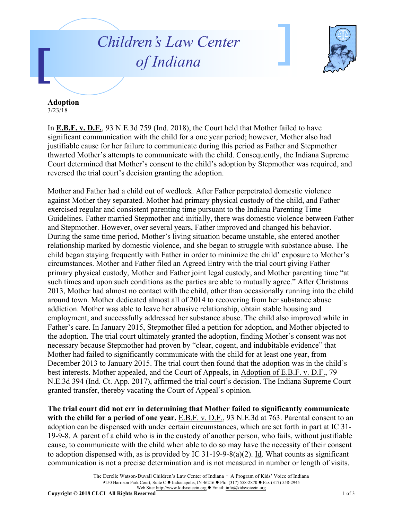## *Children's Law Center of Indiana*



**Adoption** 3/23/18

In **E.B.F. v. D.F.**, 93 N.E.3d 759 (Ind. 2018), the Court held that Mother failed to have significant communication with the child for a one year period; however, Mother also had justifiable cause for her failure to communicate during this period as Father and Stepmother thwarted Mother's attempts to communicate with the child. Consequently, the Indiana Supreme Court determined that Mother's consent to the child's adoption by Stepmother was required, and reversed the trial court's decision granting the adoption.

Mother and Father had a child out of wedlock. After Father perpetrated domestic violence against Mother they separated. Mother had primary physical custody of the child, and Father exercised regular and consistent parenting time pursuant to the Indiana Parenting Time Guidelines. Father married Stepmother and initially, there was domestic violence between Father and Stepmother. However, over several years, Father improved and changed his behavior. During the same time period, Mother's living situation became unstable, she entered another relationship marked by domestic violence, and she began to struggle with substance abuse. The child began staying frequently with Father in order to minimize the child' exposure to Mother's circumstances. Mother and Father filed an Agreed Entry with the trial court giving Father primary physical custody, Mother and Father joint legal custody, and Mother parenting time "at such times and upon such conditions as the parties are able to mutually agree." After Christmas 2013, Mother had almost no contact with the child, other than occasionally running into the child around town. Mother dedicated almost all of 2014 to recovering from her substance abuse addiction. Mother was able to leave her abusive relationship, obtain stable housing and employment, and successfully addressed her substance abuse. The child also improved while in Father's care. In January 2015, Stepmother filed a petition for adoption, and Mother objected to the adoption. The trial court ultimately granted the adoption, finding Mother's consent was not necessary because Stepmother had proven by "clear, cogent, and indubitable evidence" that Mother had failed to significantly communicate with the child for at least one year, from December 2013 to January 2015. The trial court then found that the adoption was in the child's best interests. Mother appealed, and the Court of Appeals, in Adoption of E.B.F. v. D.F., 79 N.E.3d 394 (Ind. Ct. App. 2017), affirmed the trial court's decision. The Indiana Supreme Court granted transfer, thereby vacating the Court of Appeal's opinion.

**The trial court did not err in determining that Mother failed to significantly communicate**  with the child for a period of one year. **E.B.F. v. D.F.**, 93 N.E.3d at 763. Parental consent to an adoption can be dispensed with under certain circumstances, which are set forth in part at IC 31- 19-9-8. A parent of a child who is in the custody of another person, who fails, without justifiable cause, to communicate with the child when able to do so may have the necessity of their consent to adoption dispensed with, as is provided by IC 31-19-9-8(a)(2). Id. What counts as significant communication is not a precise determination and is not measured in number or length of visits.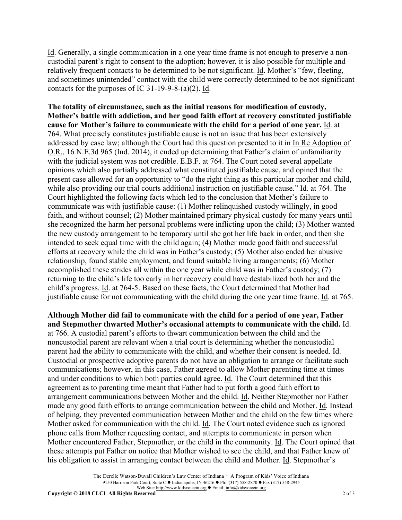Id. Generally, a single communication in a one year time frame is not enough to preserve a noncustodial parent's right to consent to the adoption; however, it is also possible for multiple and relatively frequent contacts to be determined to be not significant. Id. Mother's "few, fleeting, and sometimes unintended" contact with the child were correctly determined to be not significant contacts for the purposes of IC 31-19-9-8-(a)(2). Id.

**The totality of circumstance, such as the initial reasons for modification of custody, Mother's battle with addiction, and her good faith effort at recovery constituted justifiable cause for Mother's failure to communicate with the child for a period of one year.** Id. at 764. What precisely constitutes justifiable cause is not an issue that has been extensively addressed by case law; although the Court had this question presented to it in In Re Adoption of O.R., 16 N.E.3d 965 (Ind. 2014), it ended up determining that Father's claim of unfamiliarity with the judicial system was not credible. E.B.F. at 764. The Court noted several appellate opinions which also partially addressed what constituted justifiable cause, and opined that the present case allowed for an opportunity to "do the right thing as this particular mother and child, while also providing our trial courts additional instruction on justifiable cause." Id. at 764. The Court highlighted the following facts which led to the conclusion that Mother's failure to communicate was with justifiable cause: (1) Mother relinquished custody willingly, in good faith, and without counsel; (2) Mother maintained primary physical custody for many years until she recognized the harm her personal problems were inflicting upon the child; (3) Mother wanted the new custody arrangement to be temporary until she got her life back in order, and then she intended to seek equal time with the child again; (4) Mother made good faith and successful efforts at recovery while the child was in Father's custody; (5) Mother also ended her abusive relationship, found stable employment, and found suitable living arrangements; (6) Mother accomplished these strides all within the one year while child was in Father's custody; (7) returning to the child's life too early in her recovery could have destabilized both her and the child's progress. Id. at 764-5. Based on these facts, the Court determined that Mother had justifiable cause for not communicating with the child during the one year time frame. Id. at 765.

**Although Mother did fail to communicate with the child for a period of one year, Father and Stepmother thwarted Mother's occasional attempts to communicate with the child.** Id. at 766. A custodial parent's efforts to thwart communication between the child and the noncustodial parent are relevant when a trial court is determining whether the noncustodial parent had the ability to communicate with the child, and whether their consent is needed. Id. Custodial or prospective adoptive parents do not have an obligation to arrange or facilitate such communications; however, in this case, Father agreed to allow Mother parenting time at times and under conditions to which both parties could agree. Id. The Court determined that this agreement as to parenting time meant that Father had to put forth a good faith effort to arrangement communications between Mother and the child. Id. Neither Stepmother nor Father made any good faith efforts to arrange communication between the child and Mother. Id. Instead of helping, they prevented communication between Mother and the child on the few times where Mother asked for communication with the child. Id. The Court noted evidence such as ignored phone calls from Mother requesting contact, and attempts to communicate in person when Mother encountered Father, Stepmother, or the child in the community. Id. The Court opined that these attempts put Father on notice that Mother wished to see the child, and that Father knew of his obligation to assist in arranging contact between the child and Mother. Id. Stepmother's